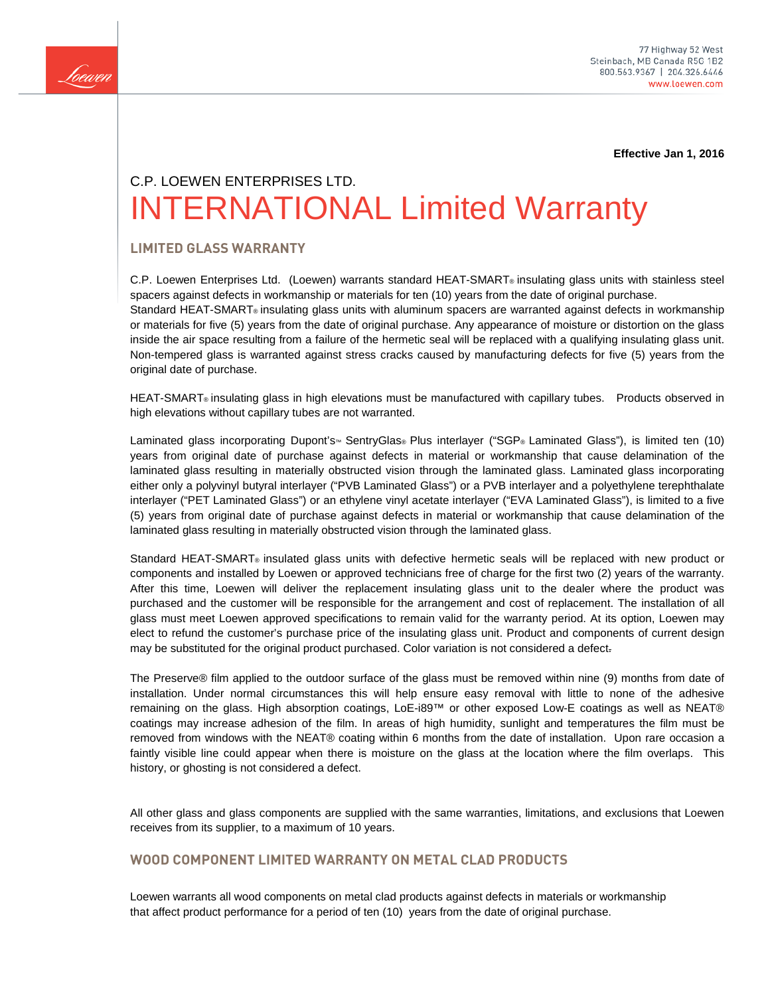

**Effective Jan 1, 2016**

# C.P. LOEWEN ENTERPRISES LTD. INTERNATIONAL Limited Warranty

# **LIMITED GLASS WARRANTY**

C.P. Loewen Enterprises Ltd. (Loewen) warrants standard HEAT-SMART® insulating glass units with stainless steel spacers against defects in workmanship or materials for ten (10) years from the date of original purchase. Standard HEAT-SMART® insulating glass units with aluminum spacers are warranted against defects in workmanship or materials for five (5) years from the date of original purchase. Any appearance of moisture or distortion on the glass inside the air space resulting from a failure of the hermetic seal will be replaced with a qualifying insulating glass unit. Non-tempered glass is warranted against stress cracks caused by manufacturing defects for five (5) years from the original date of purchase.

HEAT-SMART<sup>®</sup> insulating glass in high elevations must be manufactured with capillary tubes. Products observed in high elevations without capillary tubes are not warranted.

Laminated glass incorporating Dupont's™ SentryGlas® Plus interlayer ("SGP® Laminated Glass"), is limited ten (10) years from original date of purchase against defects in material or workmanship that cause delamination of the laminated glass resulting in materially obstructed vision through the laminated glass. Laminated glass incorporating either only a polyvinyl butyral interlayer ("PVB Laminated Glass") or a PVB interlayer and a polyethylene terephthalate interlayer ("PET Laminated Glass") or an ethylene vinyl acetate interlayer ("EVA Laminated Glass"), is limited to a five (5) years from original date of purchase against defects in material or workmanship that cause delamination of the laminated glass resulting in materially obstructed vision through the laminated glass.

Standard HEAT-SMART® insulated glass units with defective hermetic seals will be replaced with new product or components and installed by Loewen or approved technicians free of charge for the first two (2) years of the warranty. After this time, Loewen will deliver the replacement insulating glass unit to the dealer where the product was purchased and the customer will be responsible for the arrangement and cost of replacement. The installation of all glass must meet Loewen approved specifications to remain valid for the warranty period. At its option, Loewen may elect to refund the customer's purchase price of the insulating glass unit. Product and components of current design may be substituted for the original product purchased. Color variation is not considered a defect.

The Preserve® film applied to the outdoor surface of the glass must be removed within nine (9) months from date of installation. Under normal circumstances this will help ensure easy removal with little to none of the adhesive remaining on the glass. High absorption coatings, LoE-i89™ or other exposed Low-E coatings as well as NEAT® coatings may increase adhesion of the film. In areas of high humidity, sunlight and temperatures the film must be removed from windows with the NEAT® coating within 6 months from the date of installation. Upon rare occasion a faintly visible line could appear when there is moisture on the glass at the location where the film overlaps. This history, or ghosting is not considered a defect.

All other glass and glass components are supplied with the same warranties, limitations, and exclusions that Loewen receives from its supplier, to a maximum of 10 years.

## **WOOD COMPONENT LIMITED WARRANTY ON METAL CLAD PRODUCTS**

Loewen warrants all wood components on metal clad products against defects in materials or workmanship that affect product performance for a period of ten (10) years from the date of original purchase.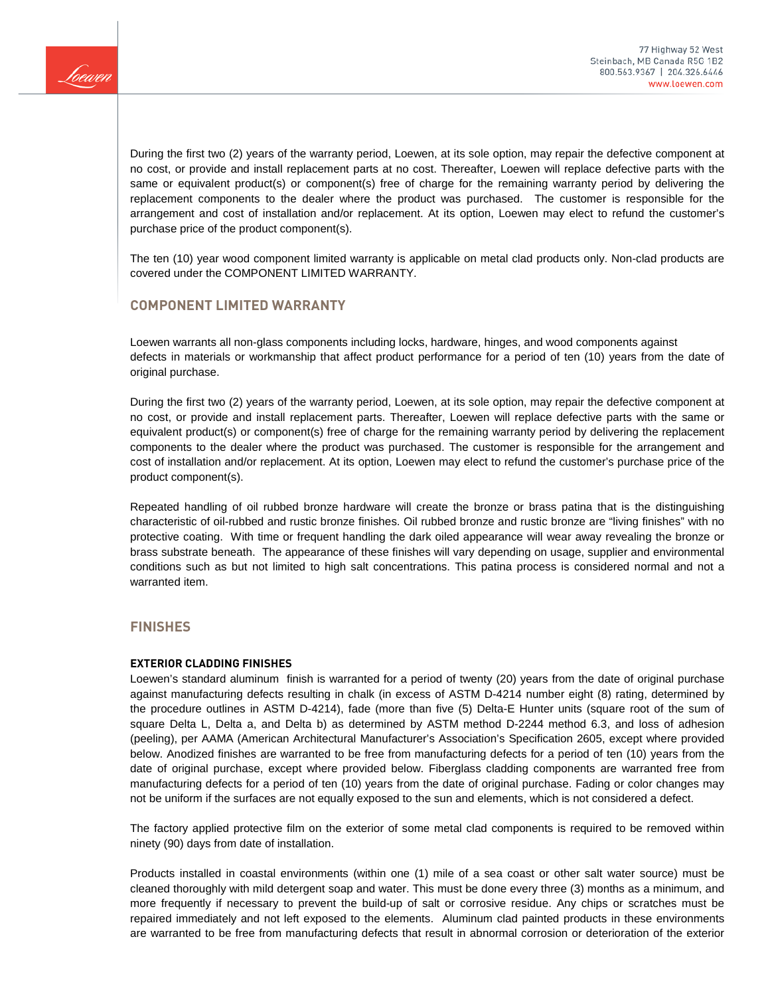

During the first two (2) years of the warranty period, Loewen, at its sole option, may repair the defective component at no cost, or provide and install replacement parts at no cost. Thereafter, Loewen will replace defective parts with the same or equivalent product(s) or component(s) free of charge for the remaining warranty period by delivering the replacement components to the dealer where the product was purchased. The customer is responsible for the arrangement and cost of installation and/or replacement. At its option, Loewen may elect to refund the customer's purchase price of the product component(s).

The ten (10) year wood component limited warranty is applicable on metal clad products only. Non-clad products are covered under the COMPONENT LIMITED WARRANTY.

## **COMPONENT LIMITED WARRANTY**

Loewen warrants all non-glass components including locks, hardware, hinges, and wood components against defects in materials or workmanship that affect product performance for a period of ten (10) years from the date of original purchase.

During the first two (2) years of the warranty period, Loewen, at its sole option, may repair the defective component at no cost, or provide and install replacement parts. Thereafter, Loewen will replace defective parts with the same or equivalent product(s) or component(s) free of charge for the remaining warranty period by delivering the replacement components to the dealer where the product was purchased. The customer is responsible for the arrangement and cost of installation and/or replacement. At its option, Loewen may elect to refund the customer's purchase price of the product component(s).

Repeated handling of oil rubbed bronze hardware will create the bronze or brass patina that is the distinguishing characteristic of oil-rubbed and rustic bronze finishes. Oil rubbed bronze and rustic bronze are "living finishes" with no protective coating. With time or frequent handling the dark oiled appearance will wear away revealing the bronze or brass substrate beneath. The appearance of these finishes will vary depending on usage, supplier and environmental conditions such as but not limited to high salt concentrations. This patina process is considered normal and not a warranted item.

### **FINISHES**

#### **EXTERIOR CLADDING FINISHES**

Loewen's standard aluminum finish is warranted for a period of twenty (20) years from the date of original purchase against manufacturing defects resulting in chalk (in excess of ASTM D-4214 number eight (8) rating, determined by the procedure outlines in ASTM D-4214), fade (more than five (5) Delta-E Hunter units (square root of the sum of square Delta L, Delta a, and Delta b) as determined by ASTM method D-2244 method 6.3, and loss of adhesion (peeling), per AAMA (American Architectural Manufacturer's Association's Specification 2605, except where provided below. Anodized finishes are warranted to be free from manufacturing defects for a period of ten (10) years from the date of original purchase, except where provided below. Fiberglass cladding components are warranted free from manufacturing defects for a period of ten (10) years from the date of original purchase. Fading or color changes may not be uniform if the surfaces are not equally exposed to the sun and elements, which is not considered a defect.

The factory applied protective film on the exterior of some metal clad components is required to be removed within ninety (90) days from date of installation.

Products installed in coastal environments (within one (1) mile of a sea coast or other salt water source) must be cleaned thoroughly with mild detergent soap and water. This must be done every three (3) months as a minimum, and more frequently if necessary to prevent the build-up of salt or corrosive residue. Any chips or scratches must be repaired immediately and not left exposed to the elements. Aluminum clad painted products in these environments are warranted to be free from manufacturing defects that result in abnormal corrosion or deterioration of the exterior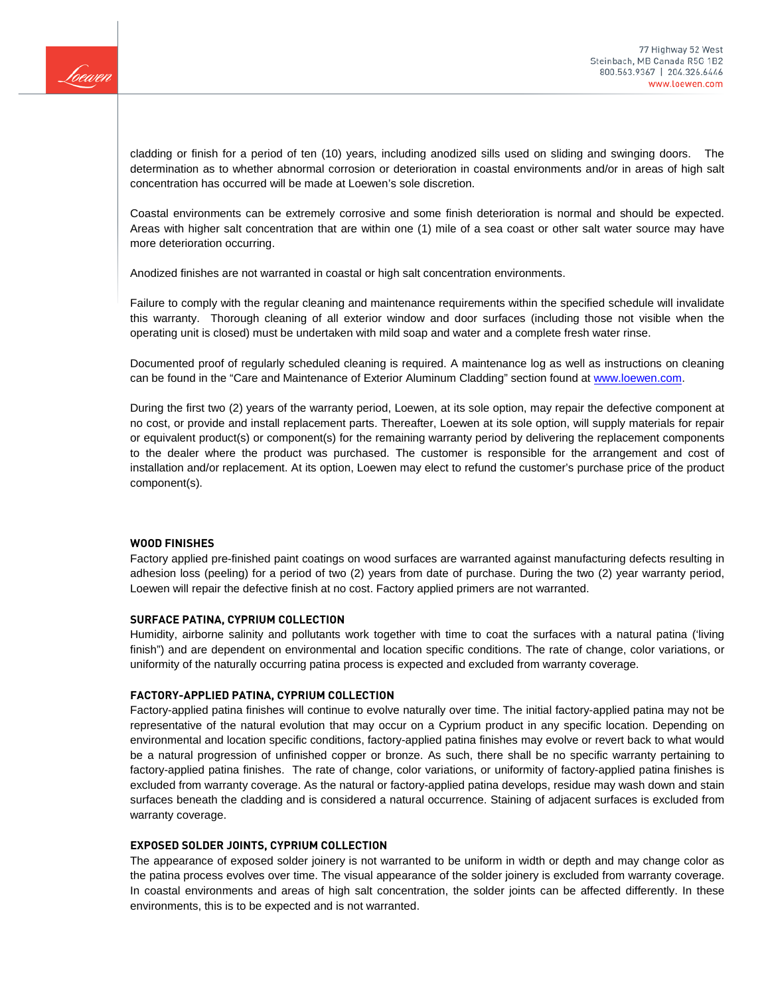

cladding or finish for a period of ten (10) years, including anodized sills used on sliding and swinging doors. The determination as to whether abnormal corrosion or deterioration in coastal environments and/or in areas of high salt concentration has occurred will be made at Loewen's sole discretion.

Coastal environments can be extremely corrosive and some finish deterioration is normal and should be expected. Areas with higher salt concentration that are within one (1) mile of a sea coast or other salt water source may have more deterioration occurring.

Anodized finishes are not warranted in coastal or high salt concentration environments.

Failure to comply with the regular cleaning and maintenance requirements within the specified schedule will invalidate this warranty. Thorough cleaning of all exterior window and door surfaces (including those not visible when the operating unit is closed) must be undertaken with mild soap and water and a complete fresh water rinse.

Documented proof of regularly scheduled cleaning is required. A maintenance log as well as instructions on cleaning can be found in the "Care and Maintenance of Exterior Aluminum Cladding" section found at [www.loewen.com.](http://www.loewen.com/)

During the first two (2) years of the warranty period, Loewen, at its sole option, may repair the defective component at no cost, or provide and install replacement parts. Thereafter, Loewen at its sole option, will supply materials for repair or equivalent product(s) or component(s) for the remaining warranty period by delivering the replacement components to the dealer where the product was purchased. The customer is responsible for the arrangement and cost of installation and/or replacement. At its option, Loewen may elect to refund the customer's purchase price of the product component(s).

#### **WOOD FINISHES**

Factory applied pre-finished paint coatings on wood surfaces are warranted against manufacturing defects resulting in adhesion loss (peeling) for a period of two (2) years from date of purchase. During the two (2) year warranty period, Loewen will repair the defective finish at no cost. Factory applied primers are not warranted.

#### **SURFACE PATINA, CYPRIUM COLLECTION**

Humidity, airborne salinity and pollutants work together with time to coat the surfaces with a natural patina ('living finish") and are dependent on environmental and location specific conditions. The rate of change, color variations, or uniformity of the naturally occurring patina process is expected and excluded from warranty coverage.

#### **FACTORY-APPLIED PATINA, CYPRIUM COLLECTION**

Factory-applied patina finishes will continue to evolve naturally over time. The initial factory-applied patina may not be representative of the natural evolution that may occur on a Cyprium product in any specific location. Depending on environmental and location specific conditions, factory-applied patina finishes may evolve or revert back to what would be a natural progression of unfinished copper or bronze. As such, there shall be no specific warranty pertaining to factory-applied patina finishes. The rate of change, color variations, or uniformity of factory-applied patina finishes is excluded from warranty coverage. As the natural or factory-applied patina develops, residue may wash down and stain surfaces beneath the cladding and is considered a natural occurrence. Staining of adjacent surfaces is excluded from warranty coverage.

#### **EXPOSED SOLDER JOINTS, CYPRIUM COLLECTION**

The appearance of exposed solder joinery is not warranted to be uniform in width or depth and may change color as the patina process evolves over time. The visual appearance of the solder joinery is excluded from warranty coverage. In coastal environments and areas of high salt concentration, the solder joints can be affected differently. In these environments, this is to be expected and is not warranted.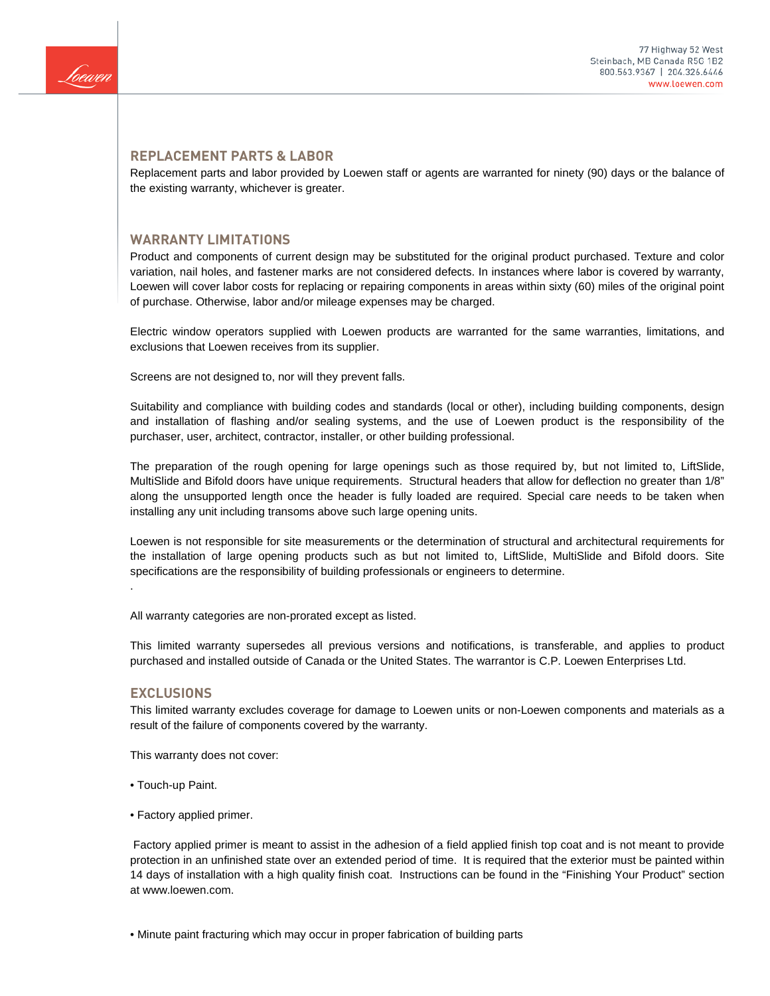

## **REPLACEMENT PARTS & LABOR**

Replacement parts and labor provided by Loewen staff or agents are warranted for ninety (90) days or the balance of the existing warranty, whichever is greater.

#### **WARRANTY LIMITATIONS**

Product and components of current design may be substituted for the original product purchased. Texture and color variation, nail holes, and fastener marks are not considered defects. In instances where labor is covered by warranty, Loewen will cover labor costs for replacing or repairing components in areas within sixty (60) miles of the original point of purchase. Otherwise, labor and/or mileage expenses may be charged.

Electric window operators supplied with Loewen products are warranted for the same warranties, limitations, and exclusions that Loewen receives from its supplier.

Screens are not designed to, nor will they prevent falls.

Suitability and compliance with building codes and standards (local or other), including building components, design and installation of flashing and/or sealing systems, and the use of Loewen product is the responsibility of the purchaser, user, architect, contractor, installer, or other building professional.

The preparation of the rough opening for large openings such as those required by, but not limited to, LiftSlide, MultiSlide and Bifold doors have unique requirements. Structural headers that allow for deflection no greater than 1/8" along the unsupported length once the header is fully loaded are required. Special care needs to be taken when installing any unit including transoms above such large opening units.

Loewen is not responsible for site measurements or the determination of structural and architectural requirements for the installation of large opening products such as but not limited to, LiftSlide, MultiSlide and Bifold doors. Site specifications are the responsibility of building professionals or engineers to determine.

All warranty categories are non-prorated except as listed.

This limited warranty supersedes all previous versions and notifications, is transferable, and applies to product purchased and installed outside of Canada or the United States. The warrantor is C.P. Loewen Enterprises Ltd.

#### **EXCLUSIONS**

.

This limited warranty excludes coverage for damage to Loewen units or non-Loewen components and materials as a result of the failure of components covered by the warranty.

This warranty does not cover:

- Touch-up Paint.
- Factory applied primer.

Factory applied primer is meant to assist in the adhesion of a field applied finish top coat and is not meant to provide protection in an unfinished state over an extended period of time. It is required that the exterior must be painted within 14 days of installation with a high quality finish coat. Instructions can be found in the "Finishing Your Product" section at www.loewen.com.

• Minute paint fracturing which may occur in proper fabrication of building parts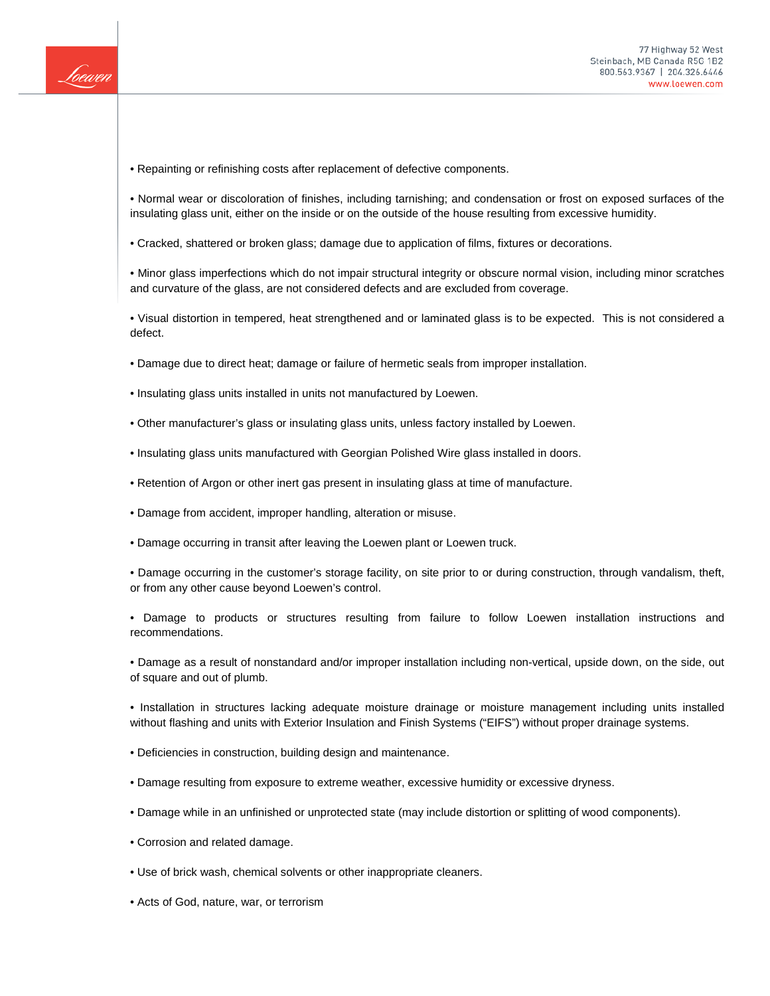

• Repainting or refinishing costs after replacement of defective components.

• Normal wear or discoloration of finishes, including tarnishing; and condensation or frost on exposed surfaces of the insulating glass unit, either on the inside or on the outside of the house resulting from excessive humidity.

• Cracked, shattered or broken glass; damage due to application of films, fixtures or decorations.

• Minor glass imperfections which do not impair structural integrity or obscure normal vision, including minor scratches and curvature of the glass, are not considered defects and are excluded from coverage.

• Visual distortion in tempered, heat strengthened and or laminated glass is to be expected. This is not considered a defect.

- Damage due to direct heat; damage or failure of hermetic seals from improper installation.
- Insulating glass units installed in units not manufactured by Loewen.
- Other manufacturer's glass or insulating glass units, unless factory installed by Loewen.
- Insulating glass units manufactured with Georgian Polished Wire glass installed in doors.
- Retention of Argon or other inert gas present in insulating glass at time of manufacture.
- Damage from accident, improper handling, alteration or misuse.
- Damage occurring in transit after leaving the Loewen plant or Loewen truck.

• Damage occurring in the customer's storage facility, on site prior to or during construction, through vandalism, theft, or from any other cause beyond Loewen's control.

• Damage to products or structures resulting from failure to follow Loewen installation instructions and recommendations.

• Damage as a result of nonstandard and/or improper installation including non-vertical, upside down, on the side, out of square and out of plumb.

• Installation in structures lacking adequate moisture drainage or moisture management including units installed without flashing and units with Exterior Insulation and Finish Systems ("EIFS") without proper drainage systems.

- Deficiencies in construction, building design and maintenance.
- Damage resulting from exposure to extreme weather, excessive humidity or excessive dryness.
- Damage while in an unfinished or unprotected state (may include distortion or splitting of wood components).
- Corrosion and related damage.
- Use of brick wash, chemical solvents or other inappropriate cleaners.
- Acts of God, nature, war, or terrorism